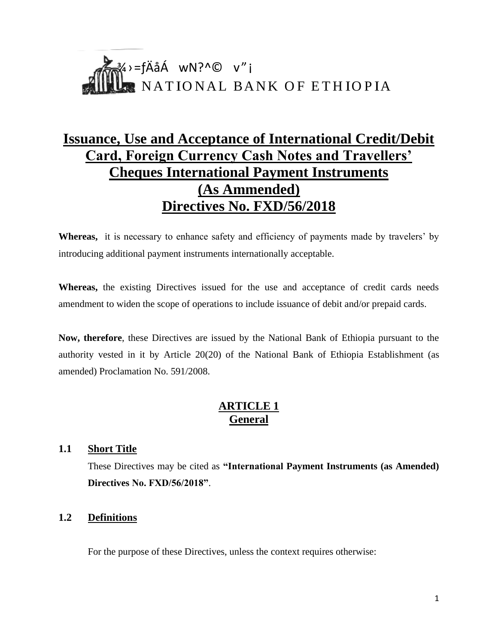# $\mathscr{W}$ <sup>3</sup>⁄4>=fÄåÁ wN?^© v"i NATIONAL BANK OF ETHIOPIA

# **Issuance, Use and Acceptance of International Credit/Debit Card, Foreign Currency Cash Notes and Travellers' Cheques International Payment Instruments (As Ammended) Directives No. FXD/56/2018**

**Whereas,** it is necessary to enhance safety and efficiency of payments made by travelers' by introducing additional payment instruments internationally acceptable.

**Whereas,** the existing Directives issued for the use and acceptance of credit cards needs amendment to widen the scope of operations to include issuance of debit and/or prepaid cards.

**Now, therefore**, these Directives are issued by the National Bank of Ethiopia pursuant to the authority vested in it by Article 20(20) of the National Bank of Ethiopia Establishment (as amended) Proclamation No. 591/2008.

# **ARTICLE 1 General**

# **1.1 Short Title**

These Directives may be cited as **"International Payment Instruments (as Amended) Directives No. FXD/56/2018"**.

# **1.2 Definitions**

For the purpose of these Directives, unless the context requires otherwise: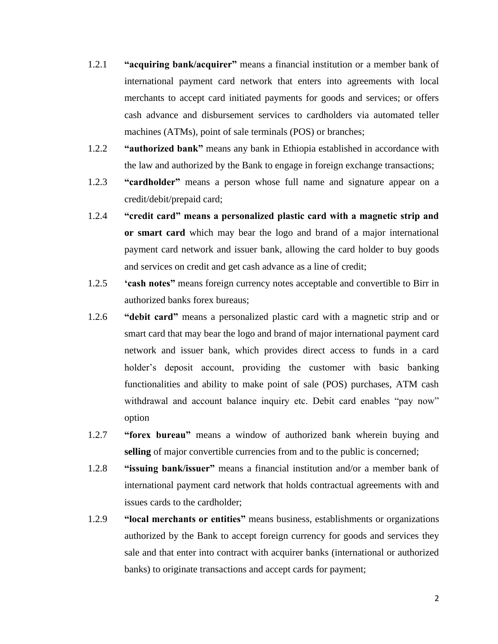- 1.2.1 **"acquiring bank/acquirer"** means a financial institution or a member bank of international payment card network that enters into agreements with local merchants to accept card initiated payments for goods and services; or offers cash advance and disbursement services to cardholders via automated teller machines (ATMs), point of sale terminals (POS) or branches;
- 1.2.2 **"authorized bank"** means any bank in Ethiopia established in accordance with the law and authorized by the Bank to engage in foreign exchange transactions;
- 1.2.3 **"cardholder"** means a person whose full name and signature appear on a credit/debit/prepaid card;
- 1.2.4 **"credit card" means a personalized plastic card with a magnetic strip and or smart card** which may bear the logo and brand of a major international payment card network and issuer bank, allowing the card holder to buy goods and services on credit and get cash advance as a line of credit;
- 1.2.5 **'cash notes"** means foreign currency notes acceptable and convertible to Birr in authorized banks forex bureaus;
- 1.2.6 **"debit card"** means a personalized plastic card with a magnetic strip and or smart card that may bear the logo and brand of major international payment card network and issuer bank, which provides direct access to funds in a card holder's deposit account, providing the customer with basic banking functionalities and ability to make point of sale (POS) purchases, ATM cash withdrawal and account balance inquiry etc. Debit card enables "pay now" option
- 1.2.7 **"forex bureau"** means a window of authorized bank wherein buying and selling of major convertible currencies from and to the public is concerned;
- 1.2.8 **"issuing bank/issuer"** means a financial institution and/or a member bank of international payment card network that holds contractual agreements with and issues cards to the cardholder;
- 1.2.9 **"local merchants or entities"** means business, establishments or organizations authorized by the Bank to accept foreign currency for goods and services they sale and that enter into contract with acquirer banks (international or authorized banks) to originate transactions and accept cards for payment;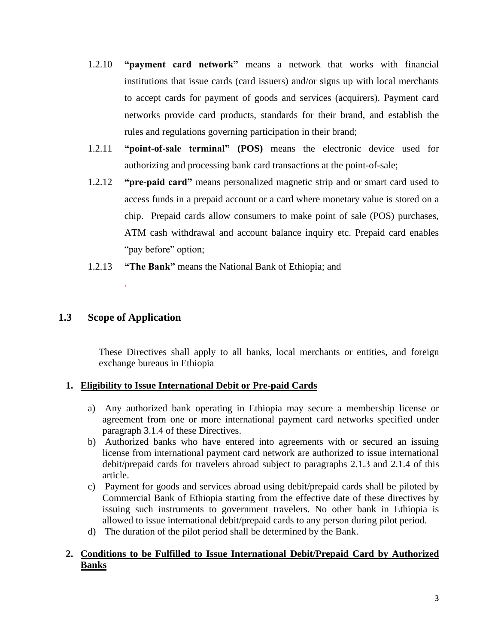- 1.2.10 **"payment card network"** means a network that works with financial institutions that issue cards (card issuers) and/or signs up with local merchants to accept cards for payment of goods and services (acquirers). Payment card networks provide card products, standards for their brand, and establish the rules and regulations governing participation in their brand;
- 1.2.11 **"point-of-sale terminal" (POS)** means the electronic device used for authorizing and processing bank card transactions at the point-of-sale;
- 1.2.12 **"pre-paid card"** means personalized magnetic strip and or smart card used to access funds in a prepaid account or a card where monetary value is stored on a chip. Prepaid cards allow consumers to make point of sale (POS) purchases, ATM cash withdrawal and account balance inquiry etc. Prepaid card enables "pay before" option;
- 1.2.13 **"The Bank"** means the National Bank of Ethiopia; and

# **1.3 Scope of Application**

.

These Directives shall apply to all banks, local merchants or entities, and foreign exchange bureaus in Ethiopia

# **1. Eligibility to Issue International Debit or Pre-paid Cards**

- a) Any authorized bank operating in Ethiopia may secure a membership license or agreement from one or more international payment card networks specified under paragraph 3.1.4 of these Directives.
- b) Authorized banks who have entered into agreements with or secured an issuing license from international payment card network are authorized to issue international debit/prepaid cards for travelers abroad subject to paragraphs 2.1.3 and 2.1.4 of this article.
- c) Payment for goods and services abroad using debit/prepaid cards shall be piloted by Commercial Bank of Ethiopia starting from the effective date of these directives by issuing such instruments to government travelers. No other bank in Ethiopia is allowed to issue international debit/prepaid cards to any person during pilot period.
- d) The duration of the pilot period shall be determined by the Bank.

# **2. Conditions to be Fulfilled to Issue International Debit/Prepaid Card by Authorized Banks**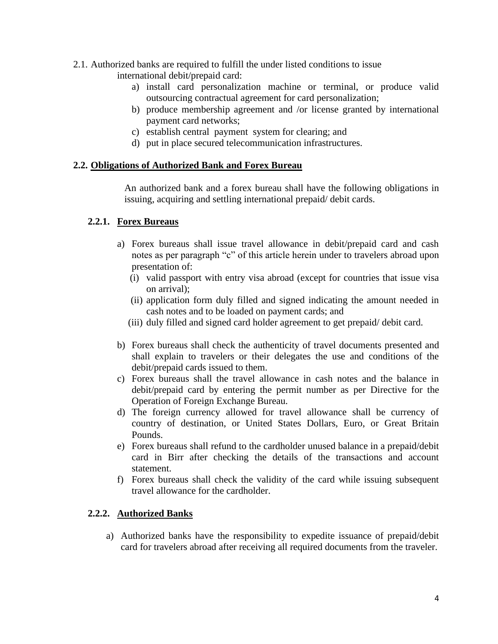- 2.1. Authorized banks are required to fulfill the under listed conditions to issue
	- international debit/prepaid card:
		- a) install card personalization machine or terminal, or produce valid outsourcing contractual agreement for card personalization;
		- b) produce membership agreement and /or license granted by international payment card networks;
		- c) establish central payment system for clearing; and
		- d) put in place secured telecommunication infrastructures.

#### **2.2. Obligations of Authorized Bank and Forex Bureau**

An authorized bank and a forex bureau shall have the following obligations in issuing, acquiring and settling international prepaid/ debit cards.

#### **2.2.1. Forex Bureaus**

- a) Forex bureaus shall issue travel allowance in debit/prepaid card and cash notes as per paragraph "c" of this article herein under to travelers abroad upon presentation of:
	- (i) valid passport with entry visa abroad (except for countries that issue visa on arrival);
	- (ii) application form duly filled and signed indicating the amount needed in cash notes and to be loaded on payment cards; and
	- (iii) duly filled and signed card holder agreement to get prepaid/ debit card.
- b) Forex bureaus shall check the authenticity of travel documents presented and shall explain to travelers or their delegates the use and conditions of the debit/prepaid cards issued to them.
- c) Forex bureaus shall the travel allowance in cash notes and the balance in debit/prepaid card by entering the permit number as per Directive for the Operation of Foreign Exchange Bureau.
- d) The foreign currency allowed for travel allowance shall be currency of country of destination, or United States Dollars, Euro, or Great Britain Pounds.
- e) Forex bureaus shall refund to the cardholder unused balance in a prepaid/debit card in Birr after checking the details of the transactions and account statement.
- f) Forex bureaus shall check the validity of the card while issuing subsequent travel allowance for the cardholder.

#### **2.2.2. Authorized Banks**

a) Authorized banks have the responsibility to expedite issuance of prepaid/debit card for travelers abroad after receiving all required documents from the traveler.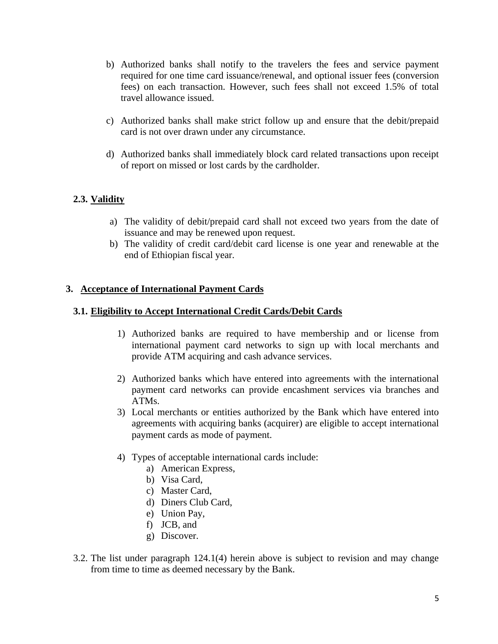- b) Authorized banks shall notify to the travelers the fees and service payment required for one time card issuance/renewal, and optional issuer fees (conversion fees) on each transaction. However, such fees shall not exceed 1.5% of total travel allowance issued.
- c) Authorized banks shall make strict follow up and ensure that the debit/prepaid card is not over drawn under any circumstance.
- d) Authorized banks shall immediately block card related transactions upon receipt of report on missed or lost cards by the cardholder.

# **2.3. Validity**

- a) The validity of debit/prepaid card shall not exceed two years from the date of issuance and may be renewed upon request.
- b) The validity of credit card/debit card license is one year and renewable at the end of Ethiopian fiscal year.

#### **3. Acceptance of International Payment Cards**

#### **3.1. Eligibility to Accept International Credit Cards/Debit Cards**

- 1) Authorized banks are required to have membership and or license from international payment card networks to sign up with local merchants and provide ATM acquiring and cash advance services.
- 2) Authorized banks which have entered into agreements with the international payment card networks can provide encashment services via branches and ATMs.
- 3) Local merchants or entities authorized by the Bank which have entered into agreements with acquiring banks (acquirer) are eligible to accept international payment cards as mode of payment.
- 4) Types of acceptable international cards include:
	- a) American Express,
	- b) Visa Card,
	- c) Master Card,
	- d) Diners Club Card,
	- e) Union Pay,
	- f) JCB, and
	- g) Discover.
- 3.2. The list under paragraph 124.1(4) herein above is subject to revision and may change from time to time as deemed necessary by the Bank.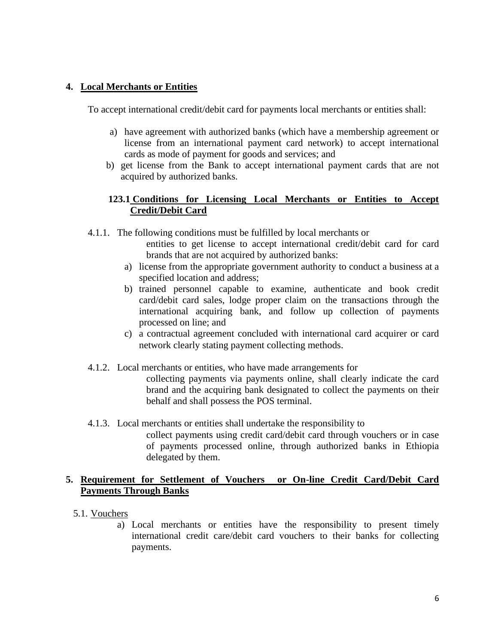# **4. Local Merchants or Entities**

To accept international credit/debit card for payments local merchants or entities shall:

- a) have agreement with authorized banks (which have a membership agreement or license from an international payment card network) to accept international cards as mode of payment for goods and services; and
- b) get license from the Bank to accept international payment cards that are not acquired by authorized banks.

# **123.1 Conditions for Licensing Local Merchants or Entities to Accept Credit/Debit Card**

4.1.1. The following conditions must be fulfilled by local merchants or

- entities to get license to accept international credit/debit card for card brands that are not acquired by authorized banks:
- a) license from the appropriate government authority to conduct a business at a specified location and address;
- b) trained personnel capable to examine, authenticate and book credit card/debit card sales, lodge proper claim on the transactions through the international acquiring bank, and follow up collection of payments processed on line; and
- c) a contractual agreement concluded with international card acquirer or card network clearly stating payment collecting methods.
- 4.1.2. Local merchants or entities, who have made arrangements for collecting payments via payments online, shall clearly indicate the card brand and the acquiring bank designated to collect the payments on their behalf and shall possess the POS terminal.
- 4.1.3. Local merchants or entities shall undertake the responsibility to collect payments using credit card/debit card through vouchers or in case of payments processed online, through authorized banks in Ethiopia delegated by them.

# **5. Requirement for Settlement of Vouchers or On-line Credit Card/Debit Card Payments Through Banks**

- 5.1. Vouchers
	- a) Local merchants or entities have the responsibility to present timely international credit care/debit card vouchers to their banks for collecting payments.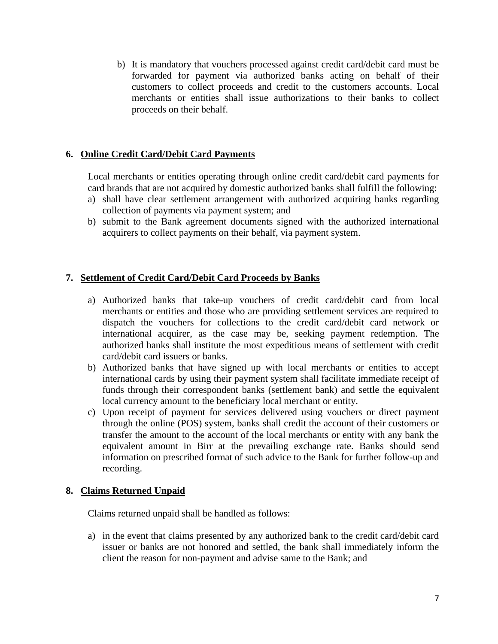b) It is mandatory that vouchers processed against credit card/debit card must be forwarded for payment via authorized banks acting on behalf of their customers to collect proceeds and credit to the customers accounts. Local merchants or entities shall issue authorizations to their banks to collect proceeds on their behalf.

# **6. Online Credit Card/Debit Card Payments**

Local merchants or entities operating through online credit card/debit card payments for card brands that are not acquired by domestic authorized banks shall fulfill the following:

- a) shall have clear settlement arrangement with authorized acquiring banks regarding collection of payments via payment system; and
- b) submit to the Bank agreement documents signed with the authorized international acquirers to collect payments on their behalf, via payment system.

# **7. Settlement of Credit Card/Debit Card Proceeds by Banks**

- a) Authorized banks that take-up vouchers of credit card/debit card from local merchants or entities and those who are providing settlement services are required to dispatch the vouchers for collections to the credit card/debit card network or international acquirer, as the case may be, seeking payment redemption. The authorized banks shall institute the most expeditious means of settlement with credit card/debit card issuers or banks.
- b) Authorized banks that have signed up with local merchants or entities to accept international cards by using their payment system shall facilitate immediate receipt of funds through their correspondent banks (settlement bank) and settle the equivalent local currency amount to the beneficiary local merchant or entity.
- c) Upon receipt of payment for services delivered using vouchers or direct payment through the online (POS) system, banks shall credit the account of their customers or transfer the amount to the account of the local merchants or entity with any bank the equivalent amount in Birr at the prevailing exchange rate. Banks should send information on prescribed format of such advice to the Bank for further follow-up and recording.

# **8. Claims Returned Unpaid**

Claims returned unpaid shall be handled as follows:

a) in the event that claims presented by any authorized bank to the credit card/debit card issuer or banks are not honored and settled, the bank shall immediately inform the client the reason for non-payment and advise same to the Bank; and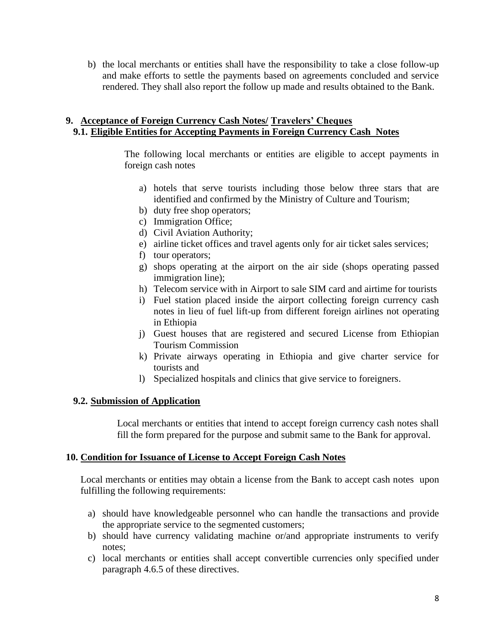b) the local merchants or entities shall have the responsibility to take a close follow-up and make efforts to settle the payments based on agreements concluded and service rendered. They shall also report the follow up made and results obtained to the Bank.

#### **9. Acceptance of Foreign Currency Cash Notes/ Travelers' Cheques 9.1. Eligible Entities for Accepting Payments in Foreign Currency Cash Notes**

The following local merchants or entities are eligible to accept payments in foreign cash notes

- a) hotels that serve tourists including those below three stars that are identified and confirmed by the Ministry of Culture and Tourism;
- b) duty free shop operators;
- c) Immigration Office;
- d) Civil Aviation Authority;
- e) airline ticket offices and travel agents only for air ticket sales services;
- f) tour operators;
- g) shops operating at the airport on the air side (shops operating passed immigration line);
- h) Telecom service with in Airport to sale SIM card and airtime for tourists
- i) Fuel station placed inside the airport collecting foreign currency cash notes in lieu of fuel lift-up from different foreign airlines not operating in Ethiopia
- j) Guest houses that are registered and secured License from Ethiopian Tourism Commission
- k) Private airways operating in Ethiopia and give charter service for tourists and
- l) Specialized hospitals and clinics that give service to foreigners.

#### **9.2. Submission of Application**

Local merchants or entities that intend to accept foreign currency cash notes shall fill the form prepared for the purpose and submit same to the Bank for approval.

#### **10. Condition for Issuance of License to Accept Foreign Cash Notes**

Local merchants or entities may obtain a license from the Bank to accept cash notes upon fulfilling the following requirements:

- a) should have knowledgeable personnel who can handle the transactions and provide the appropriate service to the segmented customers;
- b) should have currency validating machine or/and appropriate instruments to verify notes;
- c) local merchants or entities shall accept convertible currencies only specified under paragraph 4.6.5 of these directives.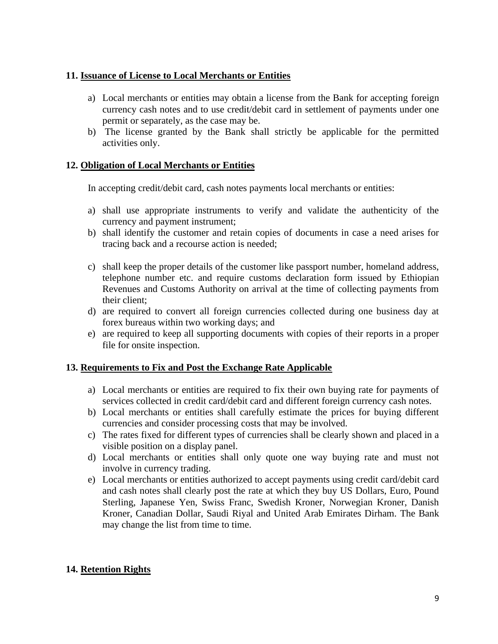# **11. Issuance of License to Local Merchants or Entities**

- a) Local merchants or entities may obtain a license from the Bank for accepting foreign currency cash notes and to use credit/debit card in settlement of payments under one permit or separately, as the case may be.
- b) The license granted by the Bank shall strictly be applicable for the permitted activities only.

#### **12. Obligation of Local Merchants or Entities**

In accepting credit/debit card, cash notes payments local merchants or entities:

- a) shall use appropriate instruments to verify and validate the authenticity of the currency and payment instrument;
- b) shall identify the customer and retain copies of documents in case a need arises for tracing back and a recourse action is needed;
- c) shall keep the proper details of the customer like passport number, homeland address, telephone number etc. and require customs declaration form issued by Ethiopian Revenues and Customs Authority on arrival at the time of collecting payments from their client;
- d) are required to convert all foreign currencies collected during one business day at forex bureaus within two working days; and
- e) are required to keep all supporting documents with copies of their reports in a proper file for onsite inspection.

# **13. Requirements to Fix and Post the Exchange Rate Applicable**

- a) Local merchants or entities are required to fix their own buying rate for payments of services collected in credit card/debit card and different foreign currency cash notes.
- b) Local merchants or entities shall carefully estimate the prices for buying different currencies and consider processing costs that may be involved.
- c) The rates fixed for different types of currencies shall be clearly shown and placed in a visible position on a display panel.
- d) Local merchants or entities shall only quote one way buying rate and must not involve in currency trading.
- e) Local merchants or entities authorized to accept payments using credit card/debit card and cash notes shall clearly post the rate at which they buy US Dollars, Euro, Pound Sterling, Japanese Yen, Swiss Franc, Swedish Kroner, Norwegian Kroner, Danish Kroner, Canadian Dollar, Saudi Riyal and United Arab Emirates Dirham. The Bank may change the list from time to time.

# **14. Retention Rights**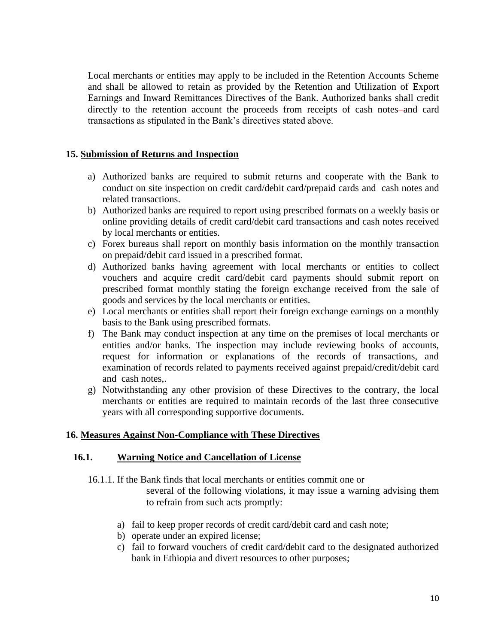Local merchants or entities may apply to be included in the Retention Accounts Scheme and shall be allowed to retain as provided by the Retention and Utilization of Export Earnings and Inward Remittances Directives of the Bank. Authorized banks shall credit directly to the retention account the proceeds from receipts of cash notes-and card transactions as stipulated in the Bank's directives stated above.

#### **15. Submission of Returns and Inspection**

- a) Authorized banks are required to submit returns and cooperate with the Bank to conduct on site inspection on credit card/debit card/prepaid cards and cash notes and related transactions.
- b) Authorized banks are required to report using prescribed formats on a weekly basis or online providing details of credit card/debit card transactions and cash notes received by local merchants or entities.
- c) Forex bureaus shall report on monthly basis information on the monthly transaction on prepaid/debit card issued in a prescribed format.
- d) Authorized banks having agreement with local merchants or entities to collect vouchers and acquire credit card/debit card payments should submit report on prescribed format monthly stating the foreign exchange received from the sale of goods and services by the local merchants or entities.
- e) Local merchants or entities shall report their foreign exchange earnings on a monthly basis to the Bank using prescribed formats.
- f) The Bank may conduct inspection at any time on the premises of local merchants or entities and/or banks. The inspection may include reviewing books of accounts, request for information or explanations of the records of transactions, and examination of records related to payments received against prepaid/credit/debit card and cash notes,.
- g) Notwithstanding any other provision of these Directives to the contrary, the local merchants or entities are required to maintain records of the last three consecutive years with all corresponding supportive documents.

#### **16. Measures Against Non-Compliance with These Directives**

#### **16.1. Warning Notice and Cancellation of License**

16.1.1. If the Bank finds that local merchants or entities commit one or several of the following violations, it may issue a warning advising them to refrain from such acts promptly:

- a) fail to keep proper records of credit card/debit card and cash note;
- b) operate under an expired license;
- c) fail to forward vouchers of credit card/debit card to the designated authorized bank in Ethiopia and divert resources to other purposes;